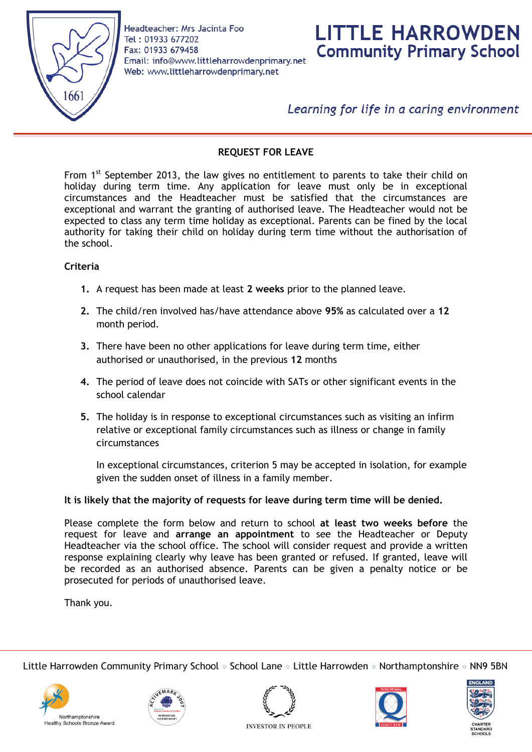

Headteacher: Mrs Jacinta Foo Tel: 01933 677202 Fax: 01933 679458 Email: info@www.littleharrowdenprimary.net Web: www.littleharrowdenprimary.net



Learning for life in a caring environment

## **REQUEST FOR LEAVE**

From  $1<sup>st</sup>$  September 2013, the law gives no entitlement to parents to take their child on holiday during term time. Any application for leave must only be in exceptional circumstances and the Headteacher must be satisfied that the circumstances are exceptional and warrant the granting of authorised leave. The Headteacher would not be expected to class any term time holiday as exceptional. Parents can be fined by the local authority for taking their child on holiday during term time without the authorisation of the school.

### **Criteria**

- **1.** A request has been made at least **2 weeks** prior to the planned leave.
- **2.** The child/ren involved has/have attendance above **95%** as calculated over a **12** month period.
- **3.** There have been no other applications for leave during term time, either authorised or unauthorised, in the previous **12** months
- **4.** The period of leave does not coincide with SATs or other significant events in the school calendar
- **5.** The holiday is in response to exceptional circumstances such as visiting an infirm relative or exceptional family circumstances such as illness or change in family circumstances

In exceptional circumstances, criterion 5 may be accepted in isolation, for example given the sudden onset of illness in a family member.

#### **It is likely that the majority of requests for leave during term time will be denied.**

Please complete the form below and return to school **at least two weeks before** the request for leave and **arrange an appointment** to see the Headteacher or Deputy Headteacher via the school office. The school will consider request and provide a written response explaining clearly why leave has been granted or refused. If granted, leave will be recorded as an authorised absence. Parents can be given a penalty notice or be prosecuted for periods of unauthorised leave.

Thank you.

Little Harrowden Community Primary School • School Lane • Little Harrowden • Northamptonshire • NN9 5BN











**INVESTOR IN PEOPLE**